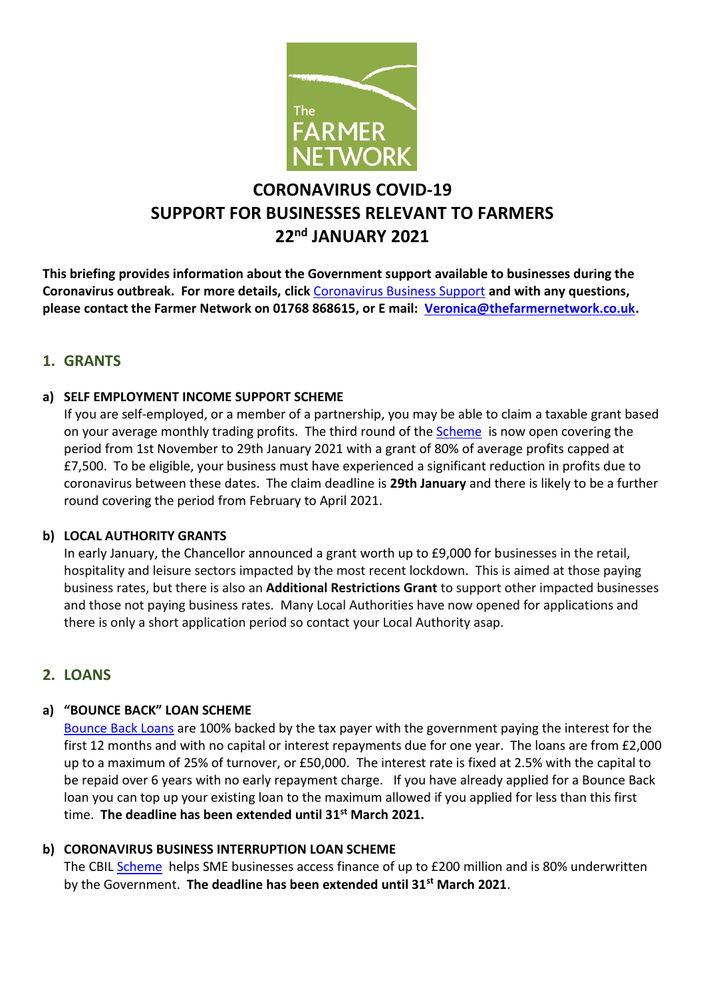

# **CORONAVIRUS COVID-19 SUPPORT FOR BUSINESSES RELEVANT TO FARMERS 22nd JANUARY 2021**

**This briefing provides information about the Government support available to businesses during the Coronavirus outbreak. For more details, click** [Coronavirus Business Support](https://www.gov.uk/coronavirus/business-support) **and with any questions, please contact the Farmer Network on 01768 868615, or E mail: [Veronica@thefarmernetwork.co.uk.](mailto:Veronica@thefarmernetwork.co.uk)**

## **1. GRANTS**

#### **a) SELF EMPLOYMENT INCOME SUPPORT SCHEME**

If you are self-employed, or a member of a partnership, you may be able to claim a taxable grant based on your average monthly trading profits. The third round of the **Scheme** is now open covering the period from 1st November to 29th January 2021 with a grant of 80% of average profits capped at £7,500. To be eligible, your business must have experienced a significant reduction in profits due to coronavirus between these dates. The claim deadline is **29th January** and there is likely to be a further round covering the period from February to April 2021.

#### **b) LOCAL AUTHORITY GRANTS**

In early January, the Chancellor announced a grant worth up to £9,000 for businesses in the retail, hospitality and leisure sectors impacted by the most recent lockdown. This is aimed at those paying business rates, but there is also an **Additional Restrictions Grant** to support other impacted businesses and those not paying business rates. Many Local Authorities have now opened for applications and there is only a short application period so contact your Local Authority asap.

#### **2. LOANS**

#### **a) "BOUNCE BACK" LOAN SCHEME**

[Bounce Back Loans](https://www.gov.uk/guidance/apply-for-a-coronavirus-bounce-back-loan) are 100% backed by the tax payer with the government paying the interest for the first 12 months and with no capital or interest repayments due for one year. The loans are from £2,000 up to a maximum of 25% of turnover, or £50,000. The interest rate is fixed at 2.5% with the capital to be repaid over 6 years with no early repayment charge. If you have already applied for a Bounce Back loan you can top up your existing loan to the maximum allowed if you applied for less than this first time. **The deadline has been extended until 31 st March 2021.**

#### **b) CORONAVIRUS BUSINESS INTERRUPTION LOAN SCHEME**

The CBIL [Scheme](https://www.gov.uk/guidance/apply-for-the-coronavirus-business-interruption-loan-scheme) helps SME businesses access finance of up to £200 million and is 80% underwritten by the Government. **The deadline has been extended until 31st March 2021**.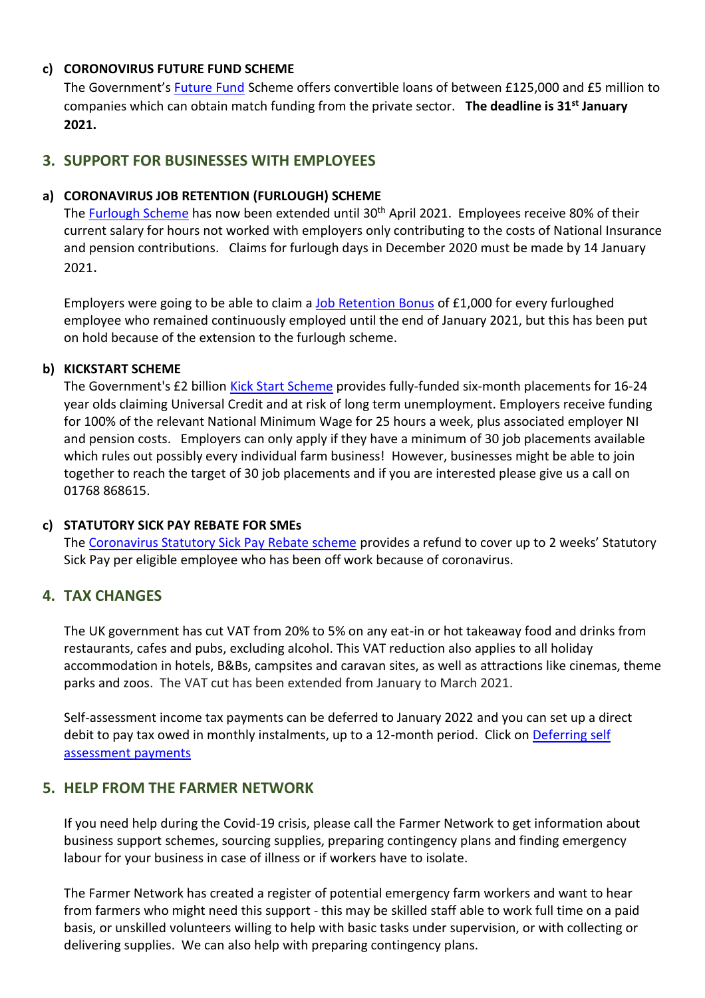### **c) CORONOVIRUS FUTURE FUND SCHEME**

The Government's [Future Fund](https://www.gov.uk/guidance/future-fund) Scheme offers convertible loans of between £125,000 and £5 million to companies which can obtain match funding from the private sector. **The deadline is 31st January 2021.**

# **3. SUPPORT FOR BUSINESSES WITH EMPLOYEES**

### **a) CORONAVIRUS JOB RETENTION (FURLOUGH) SCHEME**

The [Furlough Scheme](https://www.gov.uk/guidance/claim-for-wage-costs-through-the-coronavirus-job-retention-scheme) has now been extended until 30<sup>th</sup> April 2021. Employees receive 80% of their current salary for hours not worked with employers only contributing to the costs of National Insurance and pension contributions. Claims for furlough days in December 2020 must be made by 14 January 2021.

Employers were going to be able to claim a [Job Retention Bonus](https://www.gov.uk/guidance/check-if-you-can-claim-the-job-retention-bonus-from-15-february-2021) of £1,000 for every furloughed employee who remained continuously employed until the end of January 2021, but this has been put on hold because of the extension to the furlough scheme.

## **b) KICKSTART SCHEME**

The Government's £2 billion [Kick Start Scheme](https://www.gov.uk/government/collections/kickstart-scheme) provides fully-funded six-month placements for 16-24 year olds claiming Universal Credit and at risk of long term unemployment. Employers receive funding for 100% of the relevant National Minimum Wage for 25 hours a week, plus associated employer NI and pension costs. Employers can only apply if they have a minimum of 30 job placements available which rules out possibly every individual farm business! However, businesses might be able to join together to reach the target of 30 job placements and if you are interested please give us a call on 01768 868615.

#### **c) STATUTORY SICK PAY REBATE FOR SMEs**

The [Coronavirus Statutory Sick Pay Rebate scheme](https://caav.us12.list-manage.com/track/click?u=fcb469965a6cd3b7da31ea8ae&id=85a8fb14ea&e=926cf75356) provides a refund to cover up to 2 weeks' Statutory Sick Pay per eligible employee who has been off work because of coronavirus.

## **4. TAX CHANGES**

The UK government has cut VAT from 20% to 5% on any eat-in or hot takeaway food and drinks from restaurants, cafes and pubs, excluding alcohol. This VAT reduction also applies to all holiday accommodation in hotels, B&Bs, campsites and caravan sites, as well as attractions like cinemas, theme parks and zoos. The VAT cut has been extended from January to March 2021.

Self-assessment income tax payments can be deferred to January 2022 and you can set up a direct debit to pay tax owed in monthly instalments, up to a 12-month period. Click on Deferring self [assessment payments](https://www.gov.uk/guidance/defer-your-self-assessment-payment-on-account-due-to-coronavirus-covid-19)

## **5. HELP FROM THE FARMER NETWORK**

If you need help during the Covid-19 crisis, please call the Farmer Network to get information about business support schemes, sourcing supplies, preparing contingency plans and finding emergency labour for your business in case of illness or if workers have to isolate.

The Farmer Network has created a register of potential emergency farm workers and want to hear from farmers who might need this support - this may be skilled staff able to work full time on a paid basis, or unskilled volunteers willing to help with basic tasks under supervision, or with collecting or delivering supplies. We can also help with preparing contingency plans.